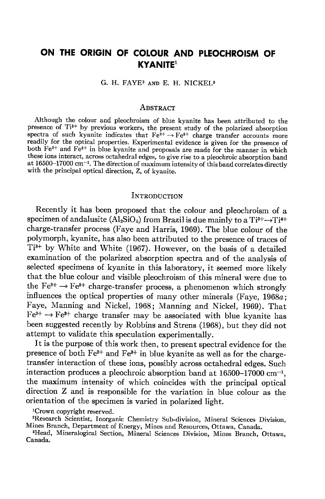# ON THE ORIGIN OF COLOUR AND PLEOCHROISM OF KYANITE'

G. H. FAYE<sup>2</sup> AND E. H. NICKEL<sup>3</sup>

#### AssrRAcr

Although the colour and pleochroism of blue kyanite has been attributed to the presence of Ti<sup>3+</sup> by previous workers, the present study of the polarized absorption spectra of such kyanite indicates that  $Fe^{2+} \rightarrow Fe^{8+}$  charge transfer accounts more readily for the optical properties. Experimental evidence is given for the presence of both Fe<sup>2+</sup> and Fe<sup>3+</sup> in blue kyanite and proposals are made for the manner in which these ions interact, across octahedral edges, to give rise to a pleochroic absorption band at 16500-17000 cm<sup>-1</sup>. The direction of maximum intensity of this band correlates directly with the principal optical direction, Z, of kyanite.

## **INTRODUCTION**

Recently it has been proposed that the colour and pleochroism of a specimen of andalusite  $(Al_2SiO_5)$  from Brazil is due mainly to a Ti<sup>3+</sup> $\rightarrow$ Ti<sup>4+</sup> charge-transfer process (Faye and Harris, 1969). The blue colour of the polymorph, kyanite, has also been attributed to the presence of traces of Ti3+ by White and White (1967). However, on the basis of a detailed examination of the polarized absorption spectra and of the analysis of selected specimens of kyanite in this laboratory, it seemed more likely that the blue colour and visible pleochroism of this mineral were due to the  $Fe^{2+} \rightarrow Fe^{8+}$  charge-transfer process, a phenomenon which strongly influences the optical properties of many other minerals (Faye, 1968a; Faye, Manning and Nickel, 1968; Manning and Nickel, 196g). That  $Fe^{2+} \rightarrow Fe^{3+}$  charge transfer may be associated with blue kyanite has been suggested recently by Robbins and Strens (1968), but they did not attempt to validate this speculation experimentally.

It is the purpose of this work then, to present spectral evidence for the presence of both  $Fe^{2+}$  and  $Fe^{3+}$  in blue kyanite as well as for the chargetransfer interaction of these ions, possibly across octahedral edges. Such interaction produces a pleochroic absorption band at  $16500-17000$  cm<sup>-1</sup>, the maximum intensity of which coincides with the principal optical direction Z and is responsible for the variation in blue colour as the orientation of the specimen is varied in polarized light.

lCrown copyright reserved.

<sup>2</sup>Research Scientist, Inorganic Chemistry Sub-division, Mineral Sciences Division, Mines Branch, Department of Energy, Mines and Resources, Ottawa, Canada.

<sup>3</sup>Head, Mineralogical Section, Mineral Sciences Division, Mines Branch, Ottawa, Canada.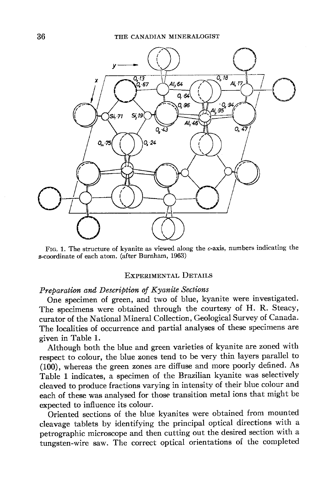

FIG. 1. The structure of kyanite as viewed along the  $c$ -axis, numbers indicating the s-coordinate of each atom. (after Burnham, 1963)

#### EXPERIMENTAL DETAILS

#### Preparation and Description of Kyanite Sections

One specimen of green, and two of blue, kyanite were investigated. The specimens were obtained through the courtesy of H. R. Steacy, curator of the National Mineral Collection, Geological Survey of Canada. The localities of occurrence and partial analyses of these specimens are given in Table 1.

Although both the blue and green varieties of kyanite are zoned with respect to colour, the blue zones tend to be very thin layers parallel to (100), whereas the green zones are diffuse and more poorly defined. As Table 1 indicates, a specimen of the Brazilian kyanite was selectively cleaved to produce fractions varying in intensity of their blue colour and each of these was analysed for those transition metal ions that might be expected to influence its colour.

Oriented sections of the blue kyanites were obtained from mounted cleavage tablets by identifying the principal optical directions with a petrographic microscope and then cutting out the desired section with a tungsten-wire saw. The correct optical orientations of the completed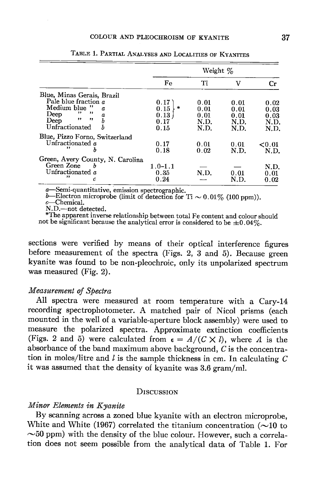|                                  |             | Weight $\%$ |      |           |  |
|----------------------------------|-------------|-------------|------|-----------|--|
|                                  | Fe          | Ti          | v    | Cr        |  |
| Blue, Minas Gerais, Brazil       |             |             |      |           |  |
| Pale blue fraction $\alpha$      | 0.17        | 0.01        | 0.01 | 0.02      |  |
| Medium blue "<br>Π.              | 塘<br>0.15   | 0.01        | 0.01 | 0.03      |  |
| $\cdots$<br>,,<br>Deep<br>α      | 0.13        | 0.01        | 0.01 | 0.03      |  |
| ,,<br>$, \, \cdot$<br>Deep       | 0.17        | N.D.        | N.D. | N.D.      |  |
| Unfractionated<br>Ъ              | 0.15        | N.D.        | N.D. | N.D.      |  |
| Blue, Pizzo Forno, Switzerland   |             |             |      |           |  |
| Unfractionated $a$               | 0.17        | 0.01        | 0.01 | ${<}0.01$ |  |
| ,,<br>b                          | 0.18        | 0.02        | N.D. | N.D.      |  |
| Green, Avery County, N. Carolina |             |             |      |           |  |
| Green Zone<br>b                  | $1.0 - 1.1$ |             |      | N.D.      |  |
| Unfractionated a                 | 0.35        | N.D.        | 0.01 | 0.01      |  |
| ,,<br>c                          | 0.24        |             | N.D. | 0.02      |  |

TABLE 1. PARTIAL ANALYSES AND LOCALITIES OF KYANITES

a—Semi-quantitative, emission spectrographic.<br>b—Electron microprobe (limit of detection for Ti  $\sim 0.01\%$  (100 ppm)).

c—Chemical.<br>N.D.—not detected.

\*The apparent inverse relationship between total Fe content and colour should not be significant because the analytical error is considered to be  $\pm 0.04\%$ .

sections were verified by means of their optical interference figures before measurement of the spectra (Figs. 2, 3 and 5). Because green kyanite was found to be non-pleochroic, only its unpolarized spectrum was measured (Fig. 2).

## Measurement of Spectra

All spectra were measured at room temperature with a Cary-L4 recording spectrophotometer. A matched pair of Nicol prisms (each mounted in the well of a variable-aperture block assembly) were used to measure the polarized spectra. Approximate extinction coefficients (Figs. 2 and 5) were calculated from  $\epsilon = A/(C \times l)$ , where A is the absorbance of the band maximum above background, C is the concentration in moles/litre and  $l$  is the sample thickness in cm. In calculating  $C$ it was assumed that the density of kyanite was  $3.6$  gram/ml.

## **DISCUSSION**

## Minor Elements in Kyanite

By scanning across a zoned blue kyanite with an electron microprobe, White and White (1967) correlated the titanium concentration  $(\sim]10$  to  $\sim$ 50 ppm) with the density of the blue colour. However, such a correlation does not seem possible from the analytical data of Table 1. For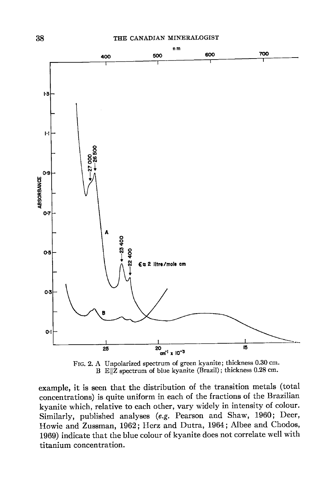

Frc. 2. A Unpolarized spectrum of green kyanite; thickness 0.30 cm. B E||Z spectrum of blue kyanite (Brazil); thickness 0.28 cm.

example, it is seen that the distribution of the transition metals (total concentrations) is quite uniform in each of the fractions of the Brazilian kyanite which, relative to each other, vary widely in intensity of colour. Similarly, published analyses (e.g. Pearson and Shaw, 1960; Deer, Howie and Zussman, 1962 ; Herz and Dutra, 1964; Albee and Chodos, 1969) indicate that the blue colour of kyanite does not correlate well with titanium concentration.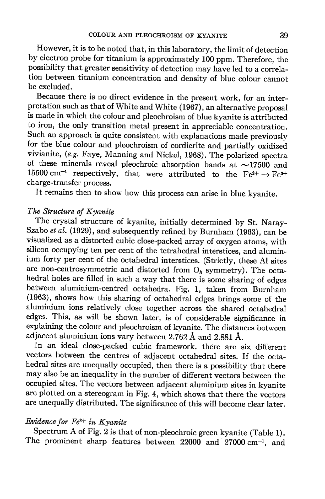However, it is to be noted that, in this laboratory, the limit of detection by electron probe for titanium is approximately 100 ppm. Therefore, the possibility that greater sensitivity of detection may have led to a correlation between titanium concentration and density of blue colour cannot be excluded.

Because there is no direct evidence in the present work, for an interpretation such as that of White and white (1962), an alternative proposal is made in which the colour and pleochroism of blue kyanite is attributed to iron, the only transition metal present in appreciable concentration. Such an approach is quite consistent with explanations made previously for the blue colour and pleochroism of cordierite and partially oxidized vivianite, (e.g. Faye, Manning and Nickel, 1963). The polarized spectra of these minerals reveal pleochroic absorption bands at  $\sim$ 17500 and 15500 cm<sup>-1</sup> respectively, that were attributed to the Fe<sup>2+</sup>  $\rightarrow$  Fe<sup>2+</sup> charge-transfer process.

It remains then to show how this process can arise in blue kyanite.

## The Structure of Kyanite

The crystal structure of kyanite, initially determined by St. Naray-Szabo et al. (1929), and subsequently refined by Burnham (1963), can be visualized as a distorted cubic close-packed array of. oxygen atoms, with silicon occupying ten per cent of the tetrahedral interstices, and aluminium forty per cent of the octahedral interstices. (Strictly, these Al sites are non-centrosymmetric and distorted from  $O_h$  symmetry). The octahedral holes are filled in such a way that there is some sharing of edges between aluminium-centred octahedra. Fig. 1, taken from Burnham  $(1963)$ , shows how this sharing of octahedral edges brings some of the aluminium ions relatively close together across the shared octahedral edges. This, as will be shown later, is of considerable significance in explaining the colour and pleochroism of kyanite. The distances between adjacent aluminium ions vary between 2.7G2 A and 2.881A.

In an ideal close-packed cubic framework, there are six different vectors between the centres of adjacent octahedral sites. If the octahedral sites are unequally occupied, then there is a possibility that there may also be an inequality in the number of different vectors between the occupied sites. The vectors between adjacent aluminium sites in kyanite are plotted on a stereogram in Fig. 4, which shows that there the vectors are unequally distributed. The significance of this will become clear later.

## Evidence for  $Fe<sup>3+</sup>$  in Kyanite

Spectrum A of Fig. 2 is that of non-pleochroic green kyanite (Table 1). The prominent sharp features between  $22000$  and  $27000$  cm<sup>-1</sup>, and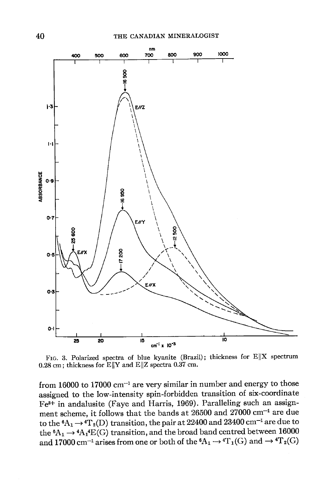

FIG. 3. Polarized spectra of blue kyanite (Brazil); thickness for  $E\|X$  spectrum 0.28 cm; thickness for  $E||Y$  and  $E||Z$  spectra 0.37 cm.

from 16000 to 17000  $cm^{-1}$  are very similar in number and energy to those assigned to the low-intensity spin-forbidden transition of six-coordinate Fes+ in andalusite (Faye and Harris, 1969). Paralleling such an assignment scheme, it follows that the bands at 26500 and 27000  $cm^{-1}$  are due to the  ${}^6A_1 \rightarrow {}^4T_2(D)$  transition, the pair at 22400 and 23400 cm<sup>-1</sup> are due to the  ${}^6A_1 \rightarrow {}^4A_1 {}^4E(G)$  transition, and the broad band centred between 16000 and 17000 cm<sup>-1</sup> arises from one or both of the  ${}^6\mathrm{A}_1 \rightarrow {}^4\mathrm{T}_1(\mathrm{G})$  and  $\rightarrow {}^4\mathrm{T}_2(\mathrm{G})$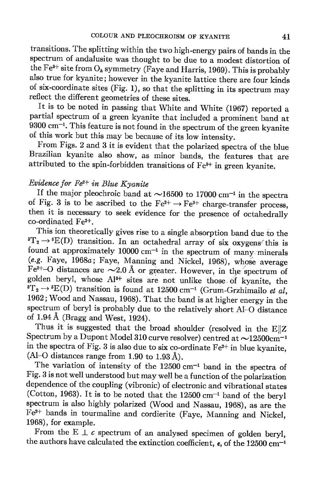transitions. The splitting within the two high-energy pairs of bands in the spectrum of andalusite was thought to be due to a modest distortion of the Fe<sup>3+</sup> site from  $O_h$  symmetry (Faye and Harris, 1969). This is probably also true for kyanite; however in the kyanite lattice there are four kinds of six-coordinate sites (Fig. 1), so that the splitting in its spectrum may reflect the different geometries of these sites.

It is to be noted in passing that white and white (1967) reported a partial spectrum of a green kyanite that included a prominent band at 9300 cm-'. This feature is not found in the spectrum of the green kyanite of this work but this may be because of its low intensity.

From Figs. 2 and 3 it is evident that the polarized spectra of the blue Brazilian kyanite also show, as minor bands, the features that are attributed to the spin-forbidden transitions of  $Fe<sup>3+</sup>$  in green kyanite.

## Evidence for  $Fe^{2+}$  in Blue Kyanite

If the major pleochroic band at  $\sim$ 16500 to 17000 cm<sup>-1</sup> in the spectra of Fig. 3 is to be ascribed to the  $Fe^{2+} \rightarrow Fe^{3+}$  charge-transfer process, then it is necessary to seek evidence for the presence of octahedrally co-ordinated Fez+.

This ion theoretically gives rise to a single absorption band due to the  ${}^5T_2 \rightarrow {}^5E(D)$  transition. In an octahedral array of six oxygens' this is found at approximately  $10000 \text{ cm}^{-1}$  in the spectrum of many minerals (e.g. Faye,  $1968a$ ; Faye, Manning and Nickel, 1968), whose average Fe<sup>2+</sup>-O distances are  $\sim$ 2.0 Å or greater. However, in the spectrum of golden beryl, whose  $Al^{3+}$  sites are not unlike those of kyanite, the  ${}^{\bar{b}}T_2 \rightarrow {}^{\bar{b}}E(D)$  transition is found at 12500 cm<sup>-1</sup> (Grum-Grzhimailo *et al*, 1962; Wood and Nassau, 1968). That the band is at higher energy in the spectrum of beryl is probably due to the relatively short Al-o distance of  $1.94 \text{ Å}$  (Bragg and West, 1924).

Thus it is suggested that the broad shoulder (resolved in the  $E\|Z$ Spectrum by a Dupont Model 310 curve resolver) centred at  $\sim$ 12500cm<sup>-1</sup> in the spectra of Fig. 3 is also due to six co-ordinate  $Fe^{2+}$  in blue kyanite, (Al-O distances range from 1.90 to 1.93 Å).

The variation of intensity of the  $12500 \text{ cm}^{-1}$  band in the spectra of Fig. 3 is not well understood but may well be a function of the polarization dependence of the coupling (vibronic) of electronic and vibrational states (Cotton, 1963). It is to be noted that the  $12500 \text{ cm}^{-1}$  band of the beryl spectrum is also highly polarized (wood and Nassau, 196g), as are the Fez+ bands in tourmaline and cordierite (Faye, Manning and Nickel, 1968), for example.

From the E  $\perp$  c spectrum of an analysed specimen of golden beryl, the authors have calculated the extinction coefficient,  $\epsilon$ , of the 12500 cm<sup>-1</sup>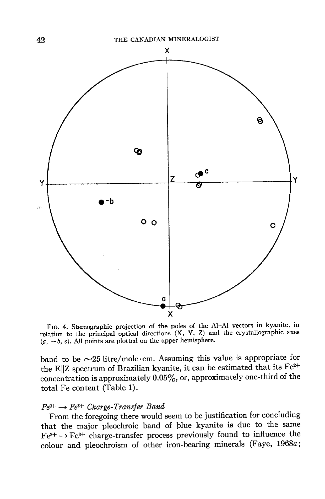

Frc. 4. Stereographic projection of the poles of the A1-Al vectors in kyanite, in relation to the principal-optical directions  $(X, Y, Z)$  and the crystallographic axes  $(a, -b, c)$ . All points are plotted on the upper hemisphere.

band to be  $\sim$ 25 litre/mole·cm. Assuming this value is appropriate for the E||Z spectrum of Brazilian kyanite, it can be estimated that its  $Fe^{2+}$ concentration is approximately  $0.05\%$ , or, approximately one-third of the total Fe content (Table 1).

#### $Fe^{2+} \rightarrow Fe^{3+}$  Charge-Transfer Band

From the foregoing there would seem to be justification for concluding that the major pleochroic band of blue kyanite is due to the same  $Fe^{2+} \rightarrow Fe^{3+}$  charge-transfer process previously found to influence the colour and pleochroism of other iron-bearing minerals (Faye, 19684;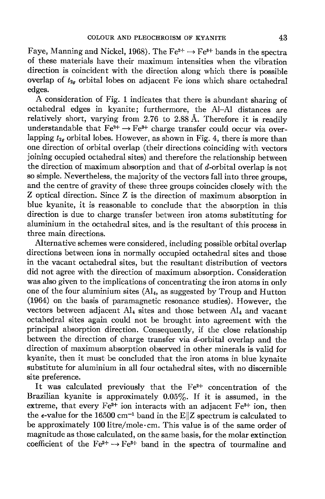Faye, Manning and Nickel, 1968). The Fe<sup>2+</sup>  $\rightarrow$  Fe<sup>3+</sup> bands in the spectra of these materials have their maximum intensities when the vibration direction is coincident with the direction along which there is possible overlap of  $t_{2g}$  orbital lobes on adjacent Fe ions which share octahedral edges.

A consideration of Fig. 1 indicates that there is abundant sharing of octahedral edges in kyanite; furthermore, the A1-Al distances are relatively short, varying from 2.76 to 2.88 A. Therefore it is readily understandable that  $Fe^{2+} \rightarrow Fe^{3+}$  charge transfer could occur via overlapping  $t_{2q}$  orbital lobes. However, as shown in Fig. 4, there is more than one direction of orbital overlap (their directions coinciding with vectors joining occupied octahedral sites) and therefore the relationship between the direction of maximum absorption and that of  $d$ -orbital overlap is not so simple. Nevertheless, the majority of the vectors fall into three groups, and the centre of gravity of these three groups coincides closely with the Z optical direction. Since Z is the direction of maximum absorption in blue kyanite, it is reasonable to conclude that the absorption in this direction is due to charge transfer between iron atoms substituting for aluminium in the octahedral sites, and is the resultant of this process in three main directions.

Alternative schemes were considered, including possible orbital overlap directions between ions in normally occupied octahedral sites and those in the vacant octahedral sites, but the resultant distribution of vectors did not agree with the direction of maximum absorption. Consideration was also given to the implications of concentrating the iron atoms in only one of the four aluminium sites  $(Al<sub>4</sub>,$  as suggested by Troup and Hutton (1964) on the basis of paramagnetic resonance studies). However, the vectors between adjacent  $Al<sub>4</sub>$  sites and those between  $Al<sub>4</sub>$  and vacant octahedral sites again could not be brought into agreement with the principal absorption direction. Consequently, if the close relationship between the direction of charge transfer via  $d$ -orbital overlap and the direction of maximum absorption observed in other minerals is valid for kyanite, then it must be concluded that the iron atoms in blue kynaite substitute for aluminium in all four octahedral sites, with no discernible site preference.

It was calculated previously that the  $Fe<sup>2+</sup>$  concentration of the Brazilian kyanite is approximately  $0.05\%$ . If it is assumed, in the extreme, that every  $Fe^{2+}$  ion interacts with an adjacent  $Fe^{3+}$  ion, then the  $\epsilon$ -value for the 16500 cm<sup>-1</sup> band in the E||Z spectrum is calculated to be approximately 100litre/mole.cm. This value is of the same order of magnitude as those calculated, on the same basis, for the molar extinction coefficient of the  $Fe^{2+} \rightarrow Fe^{3+}$  band in the spectra of tourmaline and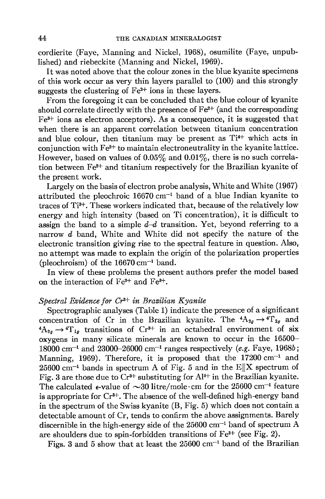cordierite (Faye, Manning and Nickel, 1968), osumilite (Faye, unpublished) and riebeckite (Manning and Nickel, 1969).

It was noted above that the colour zones in the blue kyanite specimens of this work occur as very thin layers parallel to (100) and this strongly suggests the clustering of  $Fe<sup>2+</sup>$  ions in these layers.

From the foregoing it can be concluded that the blue colour of kyanite should correlate directly with the presence of  $Fe<sup>2+</sup>$  (and the corresponding  $Fe<sup>3+</sup>$  ions as electron acceptors). As a consequence, it is suggested that when there is an apparent correlation between titanium concentration and blue colour, then titanium may be present as  $Ti<sup>4+</sup>$  which acts in conjunction with  $Fe^{2+}$  to maintain electroneutrality in the kyanite lattice. However, based on values of  $0.05\%$  and  $0.01\%$ , there is no such correlation between  $Fe^{2+}$  and titanium respectively for the Brazilian kyanite of the present work.

Largely on the basis of electron probe analysis, White and White (1967) attributed the pleochroic  $16670 \text{ cm}^{-1}$  band of a blue Indian kyanite to traces of  $Ti<sup>3+</sup>$ . These workers indicated that, because of the relatively low energy and high intensity (based on Ti concentration), it is difficult to assign the band to a simple  $d-d$  transition. Yet, beyond referring to a narrow  $d$  band, White and White did not specify the nature of the electronic transition giving rise to the spectral feature in question. Also, no attempt was made to explain the origin of the polarization properties (pleochroism) of the  $16670 \text{ cm}^{-1}$  band.

In view of these problems the present authors prefer the model based on the interaction of Fez+ and Fe3+.

### Spectral Evidence for  $Cr^{3+}$  in Brazilian Kyanite

Spectrographic analyses (Table 1) indicate the presence of a significant concentration of Cr in the Brazilian kyanite. The  ${}^4A_{2g} \rightarrow {}^4\Gamma_{2g}$  and  ${}^4A_{2a} \rightarrow {}^4T_{1a}$  transitions of Cr<sup>8+</sup> in an octahedral environment of six oxygens in many silicate minerals are known to occur in the 16500- 18000 cm<sup>-1</sup> and 23000-26000 cm<sup>-1</sup> ranges respectively (e.g. Faye, 1968b; Manning, 1969). Therefore, it is proposed that the  $17200 \text{ cm}^{-1}$  and  $25600$  cm<sup>-1</sup> bands in spectrum A of Fig. 5 and in the E||X spectrum of Fig. 3 are those due to  $Cr^{3+}$  substituting for  $Al^{3+}$  in the Brazilian kyanite. The calculated  $\epsilon$ -value of  $\sim$ 30 litre/mole·cm for the 25600 cm<sup>-1</sup> feature is appropriate for  $Cr^{3+}$ . The absence of the well-defined high-energy band in the spectrum of the Swiss kyanite (8, Fig. 5) which does not contain a detectable amount of Cr, tends to confirm the above assignments. Barely discernible in the high-energy side of the  $25600$  cm<sup>-1</sup> band of spectrum A are shoulders due to spin-forbidden transitions of Fe3+ (see Fig. 2).

Figs. 3 and 5 show that at least the  $25600 \text{ cm}^{-1}$  band of the Brazilian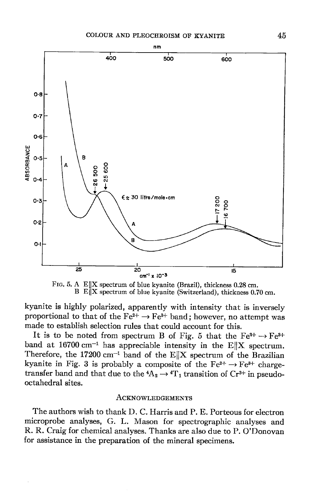

FIG. 5. A E  $\|$ X spectrum of blue kyanite (Brazil), thickness 0.28 cm. B E $\|$ X spectrum of blue kyanite (Switzerland), thickness 0.70 cm.

kyanite is highly polarized, apparently with intensity that is inversely proportional to that of the  $Fe^{2+} \rightarrow Fe^{3+}$  band; however, no attempt was made to establish selection rules that could account for this.

It is to be noted from spectrum B of Fig. 5 that the Fe<sup>2+</sup>  $\rightarrow$  Fe<sup>2+</sup> band at  $16700 \text{ cm}^{-1}$  has appreciable intensity in the E||X spectrum. Therefore, the 17200 cm<sup>-1</sup> band of the E||X spectrum of the Brazilian kyanite in Fig. 3 is probably a composite of the  $Fe^{2+} \rightarrow Fe^{3+}$  chargetransfer band and that due to the  ${}^4A_2 \rightarrow {}^4T_1$  transition of Cr<sup>3+</sup> in pseudooctahedral sites.

### ACKNOWLEDGEMENTS

The authors wish to thank D. C. Harris and P. E. Porteous for electron microprobe analyses, G. L. Mason for spectrographic analyses and R. R. Craig for chemical analyses. Thanks are also due to P. O'Donovan for assistance in the preparation of the mineral specimens.